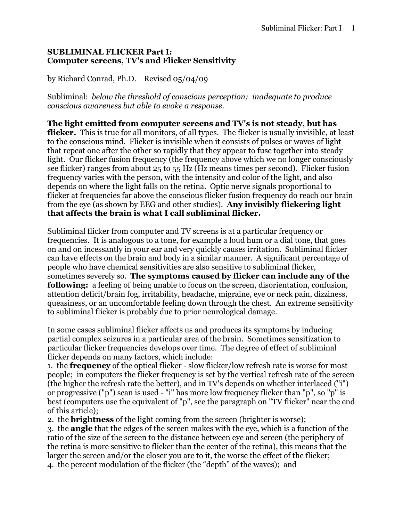## SUBLIMINAL FLICKER Part I: Computer screens, TV's and Flicker Sensitivity

by Richard Conrad, Ph.D. Revised 05/04/09

Subliminal: below the threshold of conscious perception; inadequate to produce conscious awareness but able to evoke a response.

The light emitted from computer screens and TV's is not steady, but has flicker. This is true for all monitors, of all types. The flicker is usually invisible, at least to the conscious mind. Flicker is invisible when it consists of pulses or waves of light that repeat one after the other so rapidly that they appear to fuse together into steady light. Our flicker fusion frequency (the frequency above which we no longer consciously see flicker) ranges from about 25 to 55 Hz (Hz means times per second). Flicker fusion frequency varies with the person, with the intensity and color of the light, and also depends on where the light falls on the retina. Optic nerve signals proportional to flicker at frequencies far above the conscious flicker fusion frequency do reach our brain from the eye (as shown by EEG and other studies). Any invisibly flickering light that affects the brain is what I call subliminal flicker.

Subliminal flicker from computer and TV screens is at a particular frequency or frequencies. It is analogous to a tone, for example a loud hum or a dial tone, that goes on and on incessantly in your ear and very quickly causes irritation. Subliminal flicker can have effects on the brain and body in a similar manner. A significant percentage of people who have chemical sensitivities are also sensitive to subliminal flicker, sometimes severely so. The symptoms caused by flicker can include any of the following: a feeling of being unable to focus on the screen, disorientation, confusion, attention deficit/brain fog, irritability, headache, migraine, eye or neck pain, dizziness, queasiness, or an uncomfortable feeling down through the chest. An extreme sensitivity to subliminal flicker is probably due to prior neurological damage.

In some cases subliminal flicker affects us and produces its symptoms by inducing partial complex seizures in a particular area of the brain. Sometimes sensitization to particular flicker frequencies develops over time. The degree of effect of subliminal flicker depends on many factors, which include:

1. the frequency of the optical flicker - slow flicker/low refresh rate is worse for most people; in computers the flicker frequency is set by the vertical refresh rate of the screen (the higher the refresh rate the better), and in TV's depends on whether interlaced ("i") or progressive ("p") scan is used - "i" has more low frequency flicker than "p", so "p" is best (computers use the equivalent of "p", see the paragraph on "TV flicker" near the end of this article);

2. the brightness of the light coming from the screen (brighter is worse);

3. the angle that the edges of the screen makes with the eye, which is a function of the ratio of the size of the screen to the distance between eye and screen (the periphery of the retina is more sensitive to flicker than the center of the retina), this means that the larger the screen and/or the closer you are to it, the worse the effect of the flicker; 4. the percent modulation of the flicker (the "depth" of the waves); and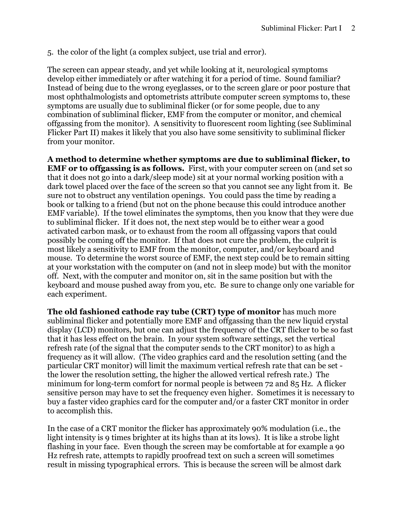5. the color of the light (a complex subject, use trial and error).

The screen can appear steady, and yet while looking at it, neurological symptoms develop either immediately or after watching it for a period of time. Sound familiar? Instead of being due to the wrong eyeglasses, or to the screen glare or poor posture that most ophthalmologists and optometrists attribute computer screen symptoms to, these symptoms are usually due to subliminal flicker (or for some people, due to any combination of subliminal flicker, EMF from the computer or monitor, and chemical offgassing from the monitor). A sensitivity to fluorescent room lighting (see Subliminal Flicker Part II) makes it likely that you also have some sensitivity to subliminal flicker from your monitor.

A method to determine whether symptoms are due to subliminal flicker, to EMF or to offgassing is as follows. First, with your computer screen on (and set so that it does not go into a dark/sleep mode) sit at your normal working position with a dark towel placed over the face of the screen so that you cannot see any light from it. Be sure not to obstruct any ventilation openings. You could pass the time by reading a book or talking to a friend (but not on the phone because this could introduce another EMF variable). If the towel eliminates the symptoms, then you know that they were due to subliminal flicker. If it does not, the next step would be to either wear a good activated carbon mask, or to exhaust from the room all offgassing vapors that could possibly be coming off the monitor. If that does not cure the problem, the culprit is most likely a sensitivity to EMF from the monitor, computer, and/or keyboard and mouse. To determine the worst source of EMF, the next step could be to remain sitting at your workstation with the computer on (and not in sleep mode) but with the monitor off. Next, with the computer and monitor on, sit in the same position but with the keyboard and mouse pushed away from you, etc. Be sure to change only one variable for each experiment.

The old fashioned cathode ray tube (CRT) type of monitor has much more subliminal flicker and potentially more EMF and offgassing than the new liquid crystal display (LCD) monitors, but one can adjust the frequency of the CRT flicker to be so fast that it has less effect on the brain. In your system software settings, set the vertical refresh rate (of the signal that the computer sends to the CRT monitor) to as high a frequency as it will allow. (The video graphics card and the resolution setting (and the particular CRT monitor) will limit the maximum vertical refresh rate that can be set the lower the resolution setting, the higher the allowed vertical refresh rate.) The minimum for long-term comfort for normal people is between 72 and 85 Hz. A flicker sensitive person may have to set the frequency even higher. Sometimes it is necessary to buy a faster video graphics card for the computer and/or a faster CRT monitor in order to accomplish this.

In the case of a CRT monitor the flicker has approximately 90% modulation (i.e., the light intensity is 9 times brighter at its highs than at its lows). It is like a strobe light flashing in your face. Even though the screen may be comfortable at for example a 90 Hz refresh rate, attempts to rapidly proofread text on such a screen will sometimes result in missing typographical errors. This is because the screen will be almost dark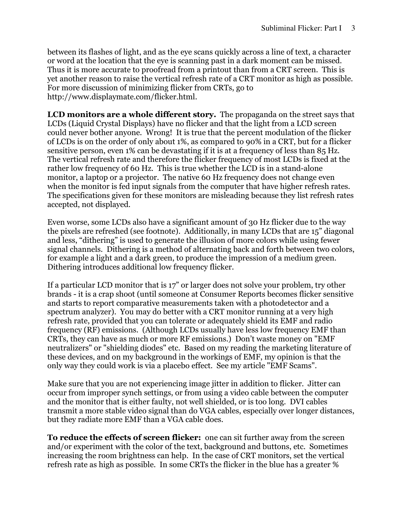between its flashes of light, and as the eye scans quickly across a line of text, a character or word at the location that the eye is scanning past in a dark moment can be missed. Thus it is more accurate to proofread from a printout than from a CRT screen. This is yet another reason to raise the vertical refresh rate of a CRT monitor as high as possible. For more discussion of minimizing flicker from CRTs, go to http://www.displaymate.com/flicker.html.

LCD monitors are a whole different story. The propaganda on the street says that LCDs (Liquid Crystal Displays) have no flicker and that the light from a LCD screen could never bother anyone. Wrong! It is true that the percent modulation of the flicker of LCDs is on the order of only about 1%, as compared to 90% in a CRT, but for a flicker sensitive person, even 1% can be devastating if it is at a frequency of less than 85 Hz. The vertical refresh rate and therefore the flicker frequency of most LCDs is fixed at the rather low frequency of 60 Hz. This is true whether the LCD is in a stand-alone monitor, a laptop or a projector. The native 60 Hz frequency does not change even when the monitor is fed input signals from the computer that have higher refresh rates. The specifications given for these monitors are misleading because they list refresh rates accepted, not displayed.

Even worse, some LCDs also have a significant amount of 30 Hz flicker due to the way the pixels are refreshed (see footnote). Additionally, in many LCDs that are 15" diagonal and less, "dithering" is used to generate the illusion of more colors while using fewer signal channels. Dithering is a method of alternating back and forth between two colors, for example a light and a dark green, to produce the impression of a medium green. Dithering introduces additional low frequency flicker.

If a particular LCD monitor that is 17" or larger does not solve your problem, try other brands - it is a crap shoot (until someone at Consumer Reports becomes flicker sensitive and starts to report comparative measurements taken with a photodetector and a spectrum analyzer). You may do better with a CRT monitor running at a very high refresh rate, provided that you can tolerate or adequately shield its EMF and radio frequency (RF) emissions. (Although LCDs usually have less low frequency EMF than CRTs, they can have as much or more RF emissions.) Don't waste money on "EMF neutralizers" or "shielding diodes" etc. Based on my reading the marketing literature of these devices, and on my background in the workings of EMF, my opinion is that the only way they could work is via a placebo effect. See my article "EMF Scams".

Make sure that you are not experiencing image jitter in addition to flicker. Jitter can occur from improper synch settings, or from using a video cable between the computer and the monitor that is either faulty, not well shielded, or is too long. DVI cables transmit a more stable video signal than do VGA cables, especially over longer distances, but they radiate more EMF than a VGA cable does.

To reduce the effects of screen flicker: one can sit further away from the screen and/or experiment with the color of the text, background and buttons, etc. Sometimes increasing the room brightness can help. In the case of CRT monitors, set the vertical refresh rate as high as possible. In some CRTs the flicker in the blue has a greater %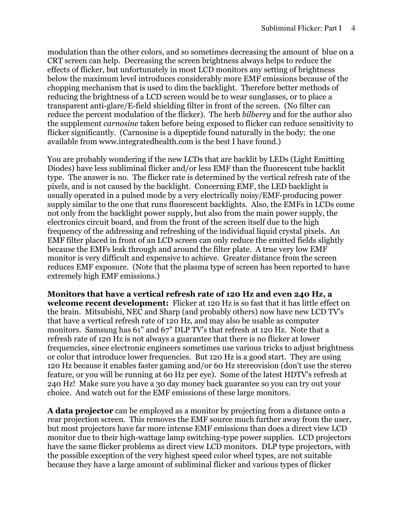modulation than the other colors, and so sometimes decreasing the amount of blue on a CRT screen can help. Decreasing the screen brightness always helps to reduce the effects of flicker, but unfortunately in most LCD monitors any setting of brightness below the maximum level introduces considerably more EMF emissions because of the chopping mechanism that is used to dim the backlight. Therefore better methods of reducing the brightness of a LCD screen would be to wear sunglasses, or to place a transparent anti-glare/E-field shielding filter in front of the screen. (No filter can reduce the percent modulation of the flicker). The herb bilberry and for the author also the supplement carnosine taken before being exposed to flicker can reduce sensitivity to flicker significantly. (Carnosine is a dipeptide found naturally in the body; the one available from www.integratedhealth.com is the best I have found.)

You are probably wondering if the new LCDs that are backlit by LEDs (Light Emitting Diodes) have less subliminal flicker and/or less EMF than the fluorescent tube backlit type. The answer is no. The flicker rate is determined by the vertical refresh rate of the pixels, and is not caused by the backlight. Concerning EMF, the LED backlight is usually operated in a pulsed mode by a very electrically noisy/EMF-producing power supply similar to the one that runs fluorescent backlights. Also, the EMFs in LCDs come not only from the backlight power supply, but also from the main power supply, the electronics circuit board, and from the front of the screen itself due to the high frequency of the addressing and refreshing of the individual liquid crystal pixels. An EMF filter placed in front of an LCD screen can only reduce the emitted fields slightly because the EMFs leak through and around the filter plate. A true very low EMF monitor is very difficult and expensive to achieve. Greater distance from the screen reduces EMF exposure. (Note that the plasma type of screen has been reported to have extremely high EMF emissions.)

Monitors that have a vertical refresh rate of 120 Hz and even 240 Hz, a welcome recent development: Flicker at 120 Hz is so fast that it has little effect on the brain. Mitsubishi, NEC and Sharp (and probably others) now have new LCD TV's that have a vertical refresh rate of 120 Hz, and may also be usable as computer monitors. Samsung has 61" and 67" DLP TV's that refresh at 120 Hz. Note that a refresh rate of 120 Hz is not always a guarantee that there is no flicker at lower frequencies, since electronic engineers sometimes use various tricks to adjust brightness or color that introduce lower frequencies. But 120 Hz is a good start. They are using 120 Hz because it enables faster gaming and/or 60 Hz stereovision (don't use the stereo feature, or you will be running at 60 Hz per eye). Some of the latest HDTV's refresh at 240 Hz! Make sure you have a 30 day money back guarantee so you can try out your choice. And watch out for the EMF emissions of these large monitors.

A data projector can be employed as a monitor by projecting from a distance onto a rear projection screen. This removes the EMF source much further away from the user, but most projectors have far more intense EMF emissions than does a direct view LCD monitor due to their high-wattage lamp switching-type power supplies. LCD projectors have the same flicker problems as direct view LCD monitors. DLP type projectors, with the possible exception of the very highest speed color wheel types, are not suitable because they have a large amount of subliminal flicker and various types of flicker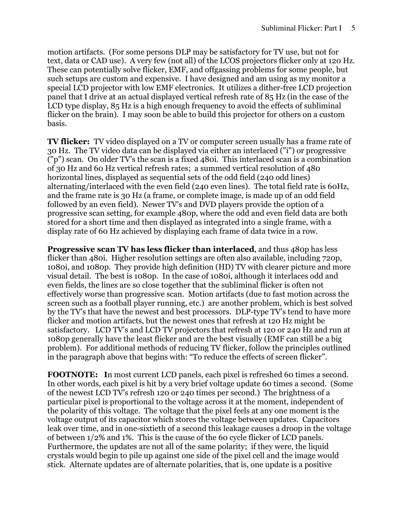motion artifacts. (For some persons DLP may be satisfactory for TV use, but not for text, data or CAD use). A very few (not all) of the LCOS projectors flicker only at 120 Hz. These can potentially solve flicker, EMF, and offgassing problems for some people, but such setups are custom and expensive. I have designed and am using as my monitor a special LCD projector with low EMF electronics. It utilizes a dither-free LCD projection panel that I drive at an actual displayed vertical refresh rate of 85 Hz (in the case of the LCD type display, 85 Hz is a high enough frequency to avoid the effects of subliminal flicker on the brain). I may soon be able to build this projector for others on a custom basis.

**TV flicker:** TV video displayed on a TV or computer screen usually has a frame rate of 30 Hz. The TV video data can be displayed via either an interlaced ("i") or progressive ("p") scan. On older TV's the scan is a fixed 480i. This interlaced scan is a combination of 30 Hz and 60 Hz vertical refresh rates; a summed vertical resolution of 480 horizontal lines, displayed as sequential sets of the odd field (240 odd lines) alternating/interlaced with the even field (240 even lines). The total field rate is 60Hz, and the frame rate is 30 Hz (a frame, or complete image, is made up of an odd field followed by an even field). Newer TV's and DVD players provide the option of a progressive scan setting, for example 480p, where the odd and even field data are both stored for a short time and then displayed as integrated into a single frame, with a display rate of 60 Hz achieved by displaying each frame of data twice in a row.

Progressive scan TV has less flicker than interlaced, and thus 480p has less flicker than 480i. Higher resolution settings are often also available, including 720p, 1080i, and 1080p. They provide high definition (HD) TV with clearer picture and more visual detail. The best is 1080p. In the case of 1080i, although it interlaces odd and even fields, the lines are so close together that the subliminal flicker is often not effectively worse than progressive scan. Motion artifacts (due to fast motion across the screen such as a football player running, etc.) are another problem, which is best solved by the TV's that have the newest and best processors. DLP-type TV's tend to have more flicker and motion artifacts, but the newest ones that refresh at 120 Hz might be satisfactory. LCD TV's and LCD TV projectors that refresh at 120 or 240 Hz and run at 1080p generally have the least flicker and are the best visually (EMF can still be a big problem). For additional methods of reducing TV flicker, follow the principles outlined in the paragraph above that begins with: "To reduce the effects of screen flicker".

FOOTNOTE: In most current LCD panels, each pixel is refreshed 60 times a second. In other words, each pixel is hit by a very brief voltage update 60 times a second. (Some of the newest LCD TV's refresh 120 or 240 times per second.) The brightness of a particular pixel is proportional to the voltage across it at the moment, independent of the polarity of this voltage. The voltage that the pixel feels at any one moment is the voltage output of its capacitor which stores the voltage between updates. Capacitors leak over time, and in one-sixtieth of a second this leakage causes a droop in the voltage of between 1/2% and 1%. This is the cause of the 60 cycle flicker of LCD panels. Furthermore, the updates are not all of the same polarity; if they were, the liquid crystals would begin to pile up against one side of the pixel cell and the image would stick. Alternate updates are of alternate polarities, that is, one update is a positive